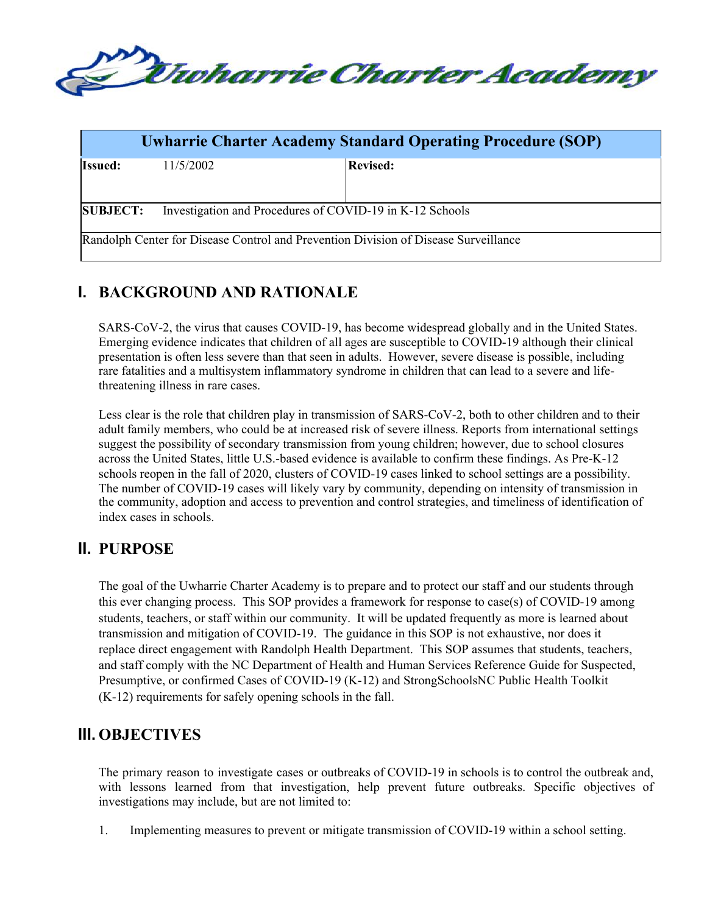

| <b>Uwharrie Charter Academy Standard Operating Procedure (SOP)</b>                  |           |                 |  |
|-------------------------------------------------------------------------------------|-----------|-----------------|--|
| <b>Issued:</b>                                                                      | 11/5/2002 | <b>Revised:</b> |  |
| Investigation and Procedures of COVID-19 in K-12 Schools<br><b>SUBJECT:</b>         |           |                 |  |
| Randolph Center for Disease Control and Prevention Division of Disease Surveillance |           |                 |  |

# **I. BACKGROUND AND RATIONALE**

SARS-CoV-2, the virus that causes COVID-19, has become widespread globally and in the United States. Emerging evidence indicates that children of all ages are susceptible to COVID-19 although their clinical presentation is often less severe than that seen in adults. However, severe disease is possible, including rare fatalities and a multisystem inflammatory syndrome in children that can lead to a severe and lifethreatening illness in rare cases.

Less clear is the role that children play in transmission of SARS-CoV-2, both to other children and to their adult family members, who could be at increased risk of severe illness. Reports from international settings suggest the possibility of secondary transmission from young children; however, due to school closures across the United States, little U.S.-based evidence is available to confirm these findings. As Pre-K-12 schools reopen in the fall of 2020, clusters of COVID-19 cases linked to school settings are a possibility. The number of COVID-19 cases will likely vary by community, depending on intensity of transmission in the community, adoption and access to prevention and control strategies, and timeliness of identification of index cases in schools.

# **II. PURPOSE**

The goal of the Uwharrie Charter Academy is to prepare and to protect our staff and our students through this ever changing process. This SOP provides a framework for response to case(s) of COVID-19 among students, teachers, or staff within our community. It will be updated frequently as more is learned about transmission and mitigation of COVID-19. The guidance in this SOP is not exhaustive, nor does it replace direct engagement with Randolph Health Department. This SOP assumes that students, teachers, and staff comply with the NC Department of Health and Human Services Reference Guide for Suspected, Presumptive, or confirmed Cases of COVID-19 (K-12) and StrongSchoolsNC Public Health Toolkit (K-12) requirements for safely opening schools in the fall.

# **III. OBJECTIVES**

The primary reason to investigate cases or outbreaks of COVID-19 in schools is to control the outbreak and, with lessons learned from that investigation, help prevent future outbreaks. Specific objectives of investigations may include, but are not limited to:

1. Implementing measures to prevent or mitigate transmission of COVID-19 within a school setting.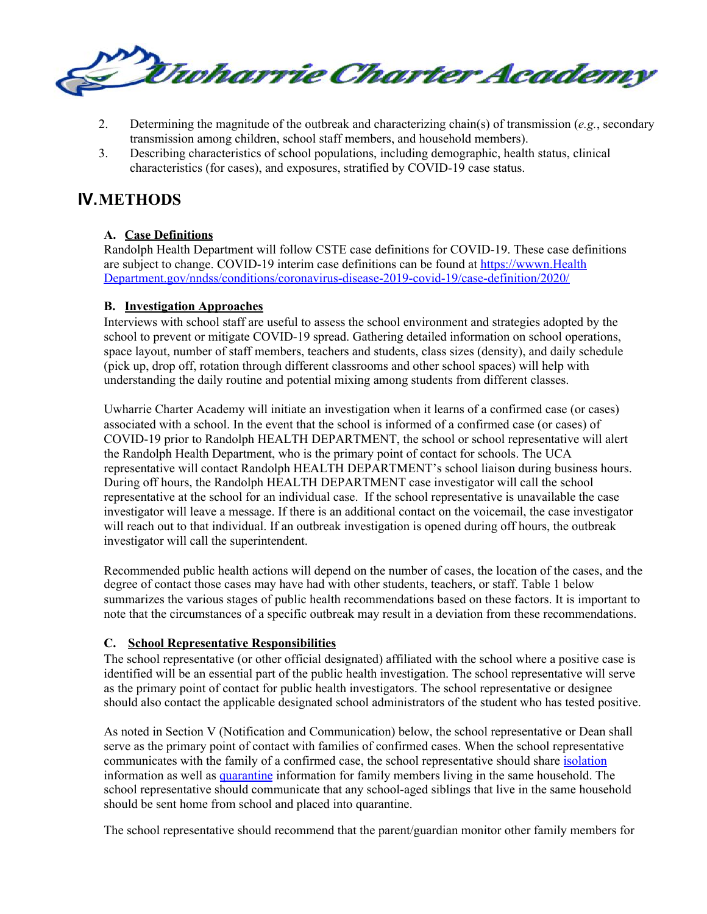

- 2. Determining the magnitude of the outbreak and characterizing chain(s) of transmission (*e.g.*, secondary transmission among children, school staff members, and household members).
- 3. Describing characteristics of school populations, including demographic, health status, clinical characteristics (for cases), and exposures, stratified by COVID-19 case status.

# **IV.METHODS**

### **A. Case Definitions**

Randolph Health Department will follow CSTE case definitions for COVID-19. These case definitions are subject to change. COVID-19 interim case definitions can be found at https://wwwn.Health Department.gov/nndss/conditions/coronavirus-disease-2019-covid-19/case-definition/2020/

### **B. Investigation Approaches**

Interviews with school staff are useful to assess the school environment and strategies adopted by the school to prevent or mitigate COVID-19 spread. Gathering detailed information on school operations, space layout, number of staff members, teachers and students, class sizes (density), and daily schedule (pick up, drop off, rotation through different classrooms and other school spaces) will help with understanding the daily routine and potential mixing among students from different classes.

Uwharrie Charter Academy will initiate an investigation when it learns of a confirmed case (or cases) associated with a school. In the event that the school is informed of a confirmed case (or cases) of COVID-19 prior to Randolph HEALTH DEPARTMENT, the school or school representative will alert the Randolph Health Department, who is the primary point of contact for schools. The UCA representative will contact Randolph HEALTH DEPARTMENT's school liaison during business hours. During off hours, the Randolph HEALTH DEPARTMENT case investigator will call the school representative at the school for an individual case. If the school representative is unavailable the case investigator will leave a message. If there is an additional contact on the voicemail, the case investigator will reach out to that individual. If an outbreak investigation is opened during off hours, the outbreak investigator will call the superintendent.

Recommended public health actions will depend on the number of cases, the location of the cases, and the degree of contact those cases may have had with other students, teachers, or staff. Table 1 below summarizes the various stages of public health recommendations based on these factors. It is important to note that the circumstances of a specific outbreak may result in a deviation from these recommendations.

### **C. School Representative Responsibilities**

The school representative (or other official designated) affiliated with the school where a positive case is identified will be an essential part of the public health investigation. The school representative will serve as the primary point of contact for public health investigators. The school representative or designee should also contact the applicable designated school administrators of the student who has tested positive.

As noted in Section V (Notification and Communication) below, the school representative or Dean shall serve as the primary point of contact with families of confirmed cases. When the school representative communicates with the family of a confirmed case, the school representative should share isolation information as well as quarantine information for family members living in the same household. The school representative should communicate that any school-aged siblings that live in the same household should be sent home from school and placed into quarantine.

The school representative should recommend that the parent/guardian monitor other family members for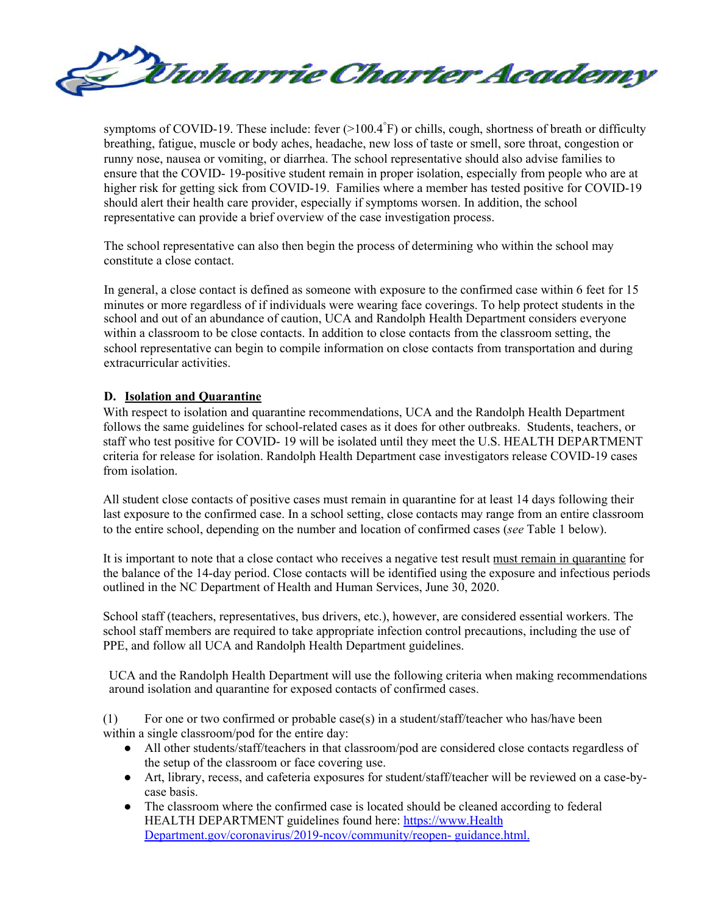

symptoms of COVID-19. These include: fever (>100.4°F) or chills, cough, shortness of breath or difficulty breathing, fatigue, muscle or body aches, headache, new loss of taste or smell, sore throat, congestion or runny nose, nausea or vomiting, or diarrhea. The school representative should also advise families to ensure that the COVID- 19-positive student remain in proper isolation, especially from people who are at higher risk for getting sick from COVID-19. Families where a member has tested positive for COVID-19 should alert their health care provider, especially if symptoms worsen. In addition, the school representative can provide a brief overview of the case investigation process.

The school representative can also then begin the process of determining who within the school may constitute a close contact.

In general, a close contact is defined as someone with exposure to the confirmed case within 6 feet for 15 minutes or more regardless of if individuals were wearing face coverings. To help protect students in the school and out of an abundance of caution, UCA and Randolph Health Department considers everyone within a classroom to be close contacts. In addition to close contacts from the classroom setting, the school representative can begin to compile information on close contacts from transportation and during extracurricular activities.

#### **D. Isolation and Quarantine**

With respect to isolation and quarantine recommendations, UCA and the Randolph Health Department follows the same guidelines for school-related cases as it does for other outbreaks. Students, teachers, or staff who test positive for COVID- 19 will be isolated until they meet the U.S. HEALTH DEPARTMENT criteria for release for isolation. Randolph Health Department case investigators release COVID-19 cases from isolation.

All student close contacts of positive cases must remain in quarantine for at least 14 days following their last exposure to the confirmed case. In a school setting, close contacts may range from an entire classroom to the entire school, depending on the number and location of confirmed cases (*see* Table 1 below).

It is important to note that a close contact who receives a negative test result must remain in quarantine for the balance of the 14-day period. Close contacts will be identified using the exposure and infectious periods outlined in the NC Department of Health and Human Services, June 30, 2020.

School staff (teachers, representatives, bus drivers, etc.), however, are considered essential workers. The school staff members are required to take appropriate infection control precautions, including the use of PPE, and follow all UCA and Randolph Health Department guidelines.

UCA and the Randolph Health Department will use the following criteria when making recommendations around isolation and quarantine for exposed contacts of confirmed cases.

(1) For one or two confirmed or probable case(s) in a student/staff/teacher who has/have been within a single classroom/pod for the entire day:

- All other students/staff/teachers in that classroom/pod are considered close contacts regardless of the setup of the classroom or face covering use.
- Art, library, recess, and cafeteria exposures for student/staff/teacher will be reviewed on a case-bycase basis.
- The classroom where the confirmed case is located should be cleaned according to federal HEALTH DEPARTMENT guidelines found here: https:/[/www.Health](http://www.cdc.gov/coronavirus/2019-ncov/community/reopen-) [Department.gov/coronavirus/2019-ncov/community/reopen-](http://www.cdc.gov/coronavirus/2019-ncov/community/reopen-) guidance.html.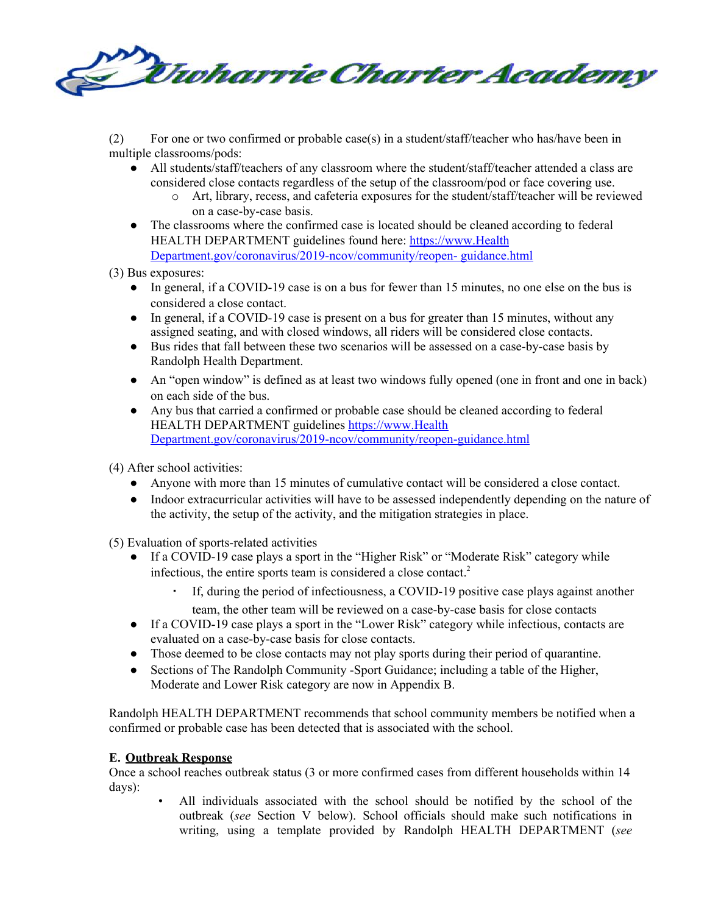

(2) For one or two confirmed or probable case(s) in a student/staff/teacher who has/have been in multiple classrooms/pods:

- All students/staff/teachers of any classroom where the student/staff/teacher attended a class are considered close contacts regardless of the setup of the classroom/pod or face covering use.
	- o Art, library, recess, and cafeteria exposures for the student/staff/teacher will be reviewed on a case-by-case basis.
- The classrooms where the confirmed case is located should be cleaned according to federal HEALTH DEPARTMENT guidelines found here: https://[www.Health](http://www.cdc.gov/coronavirus/2019-ncov/community/reopen-) [Department.gov/coronavirus/2019-ncov/community/reopen-](http://www.cdc.gov/coronavirus/2019-ncov/community/reopen-) guidance.html

(3) Bus exposures:

- In general, if a COVID-19 case is on a bus for fewer than 15 minutes, no one else on the bus is considered a close contact.
- In general, if a COVID-19 case is present on a bus for greater than 15 minutes, without any assigned seating, and with closed windows, all riders will be considered close contacts.
- Bus rides that fall between these two scenarios will be assessed on a case-by-case basis by Randolph Health Department.
- An "open window" is defined as at least two windows fully opened (one in front and one in back) on each side of the bus.
- Any bus that carried a confirmed or probable case should be cleaned according to federal HEALTH DEPARTMENT guidelines https:/[/www.Health](http://www.cdc.gov/coronavirus/2019-ncov/community/reopen-guidance.html) [Department.gov/coronavirus/2019-ncov/community/reopen-guidance.html](http://www.cdc.gov/coronavirus/2019-ncov/community/reopen-guidance.html)

(4) After school activities:

- Anyone with more than 15 minutes of cumulative contact will be considered a close contact.
- Indoor extracurricular activities will have to be assessed independently depending on the nature of the activity, the setup of the activity, and the mitigation strategies in place.

(5) Evaluation of sports-related activities

- If a COVID-19 case plays a sport in the "Higher Risk" or "Moderate Risk" category while infectious, the entire sports team is considered a close contact. 2
	- If, during the period of infectiousness, a COVID-19 positive case plays against another team, the other team will be reviewed on a case-by-case basis for close contacts
- If a COVID-19 case plays a sport in the "Lower Risk" category while infectious, contacts are evaluated on a case-by-case basis for close contacts.
- Those deemed to be close contacts may not play sports during their period of quarantine.
- Sections of The Randolph Community -Sport Guidance; including a table of the Higher, Moderate and Lower Risk category are now in Appendix B.

Randolph HEALTH DEPARTMENT recommends that school community members be notified when a confirmed or probable case has been detected that is associated with the school.

### **E. Outbreak Response**

Once a school reaches outbreak status (3 or more confirmed cases from different households within 14 days):

• All individuals associated with the school should be notified by the school of the outbreak (*see* Section V below). School officials should make such notifications in writing, using a template provided by Randolph HEALTH DEPARTMENT (*see*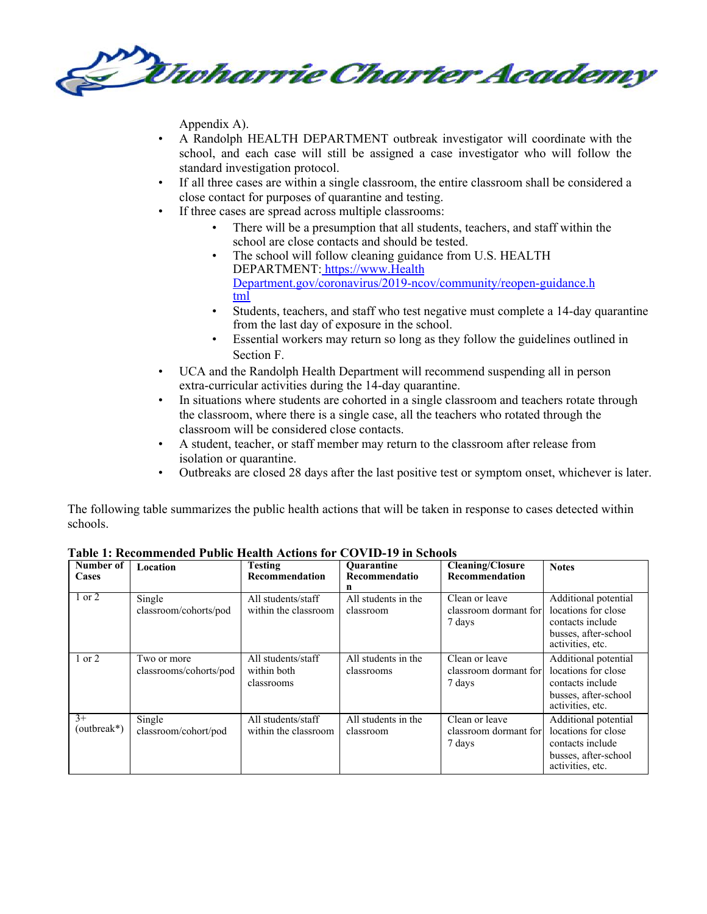

Appendix A).

- A Randolph HEALTH DEPARTMENT outbreak investigator will coordinate with the school, and each case will still be assigned a case investigator who will follow the standard investigation protocol.
- If all three cases are within a single classroom, the entire classroom shall be considered a close contact for purposes of quarantine and testing.
- If three cases are spread across multiple classrooms:
	- There will be a presumption that all students, teachers, and staff within the school are close contacts and should be tested.
	- The school will follow cleaning guidance from U.S. HEALTH DEPARTMENT: https://[www.Health](http://www.cdc.gov/coronavirus/2019-ncov/community/reopen-guidance.html) [Department.gov/coronavirus/2019-ncov/community/reopen-guidance.h](http://www.cdc.gov/coronavirus/2019-ncov/community/reopen-guidance.html) [tml](http://www.cdc.gov/coronavirus/2019-ncov/community/reopen-guidance.html)
	- Students, teachers, and staff who test negative must complete a 14-day quarantine from the last day of exposure in the school.
	- Essential workers may return so long as they follow the guidelines outlined in Section F.
- UCA and the Randolph Health Department will recommend suspending all in person extra-curricular activities during the 14-day quarantine.
- In situations where students are cohorted in a single classroom and teachers rotate through the classroom, where there is a single case, all the teachers who rotated through the classroom will be considered close contacts.
- A student, teacher, or staff member may return to the classroom after release from isolation or quarantine.
- Outbreaks are closed 28 days after the last positive test or symptom onset, whichever is later.

The following table summarizes the public health actions that will be taken in response to cases detected within schools.

| Number of<br>Cases    | Location                              | Testing<br>Recommendation                       | <b>Quarantine</b><br><b>Recommendatio</b><br>n | <b>Cleaning/Closure</b><br><b>Recommendation</b>  | <b>Notes</b>                                                                                                |
|-----------------------|---------------------------------------|-------------------------------------------------|------------------------------------------------|---------------------------------------------------|-------------------------------------------------------------------------------------------------------------|
| 1 or 2                | Single<br>classroom/cohorts/pod       | All students/staff<br>within the classroom      | All students in the<br>classroom               | Clean or leave<br>classroom dormant for<br>7 days | Additional potential<br>locations for close<br>contacts include<br>busses, after-school<br>activities, etc. |
| 1 or 2                | Two or more<br>classrooms/cohorts/pod | All students/staff<br>within both<br>classrooms | All students in the<br>classrooms              | Clean or leave<br>classroom dormant for<br>7 days | Additional potential<br>locations for close<br>contacts include<br>busses, after-school<br>activities, etc. |
| $3+$<br>$(outbreak*)$ | Single<br>classroom/cohort/pod        | All students/staff<br>within the classroom      | All students in the<br>classroom               | Clean or leave<br>classroom dormant for<br>7 days | Additional potential<br>locations for close<br>contacts include<br>busses, after-school<br>activities, etc. |

**Table 1: Recommended Public Health Actions for COVID-19 in Schools**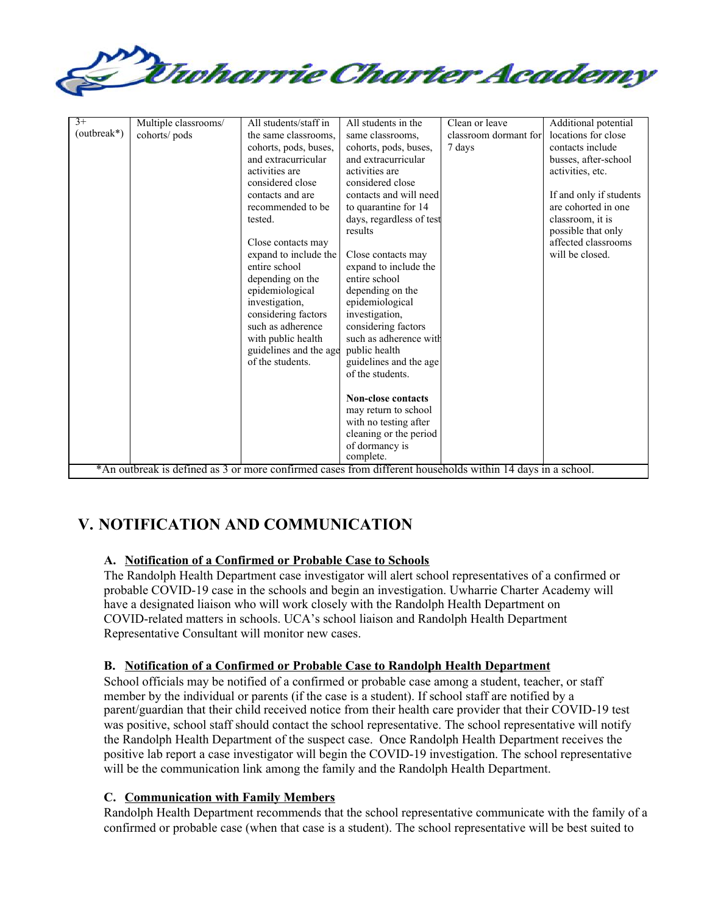

| $3+$        | Multiple classrooms/                                                                                       | All students/staff in  | All students in the       | Clean or leave        | Additional potential    |
|-------------|------------------------------------------------------------------------------------------------------------|------------------------|---------------------------|-----------------------|-------------------------|
| (outbreak*) | cohorts/pods                                                                                               | the same classrooms,   | same classrooms.          | classroom dormant for | locations for close     |
|             |                                                                                                            | cohorts, pods, buses,  | cohorts, pods, buses,     | 7 days                | contacts include        |
|             |                                                                                                            | and extracurricular    | and extracurricular       |                       | busses, after-school    |
|             |                                                                                                            | activities are         | activities are            |                       | activities, etc.        |
|             |                                                                                                            | considered close       | considered close          |                       |                         |
|             |                                                                                                            | contacts and are       | contacts and will need    |                       | If and only if students |
|             |                                                                                                            | recommended to be      | to quarantine for 14      |                       | are cohorted in one     |
|             |                                                                                                            | tested.                | days, regardless of test  |                       | classroom, it is        |
|             |                                                                                                            |                        | results                   |                       | possible that only      |
|             |                                                                                                            | Close contacts may     |                           |                       | affected classrooms     |
|             |                                                                                                            | expand to include the  | Close contacts may        |                       | will be closed.         |
|             |                                                                                                            | entire school          | expand to include the     |                       |                         |
|             |                                                                                                            | depending on the       | entire school             |                       |                         |
|             |                                                                                                            | epidemiological        | depending on the          |                       |                         |
|             |                                                                                                            | investigation,         | epidemiological           |                       |                         |
|             |                                                                                                            | considering factors    | investigation,            |                       |                         |
|             |                                                                                                            | such as adherence      | considering factors       |                       |                         |
|             |                                                                                                            | with public health     | such as adherence with    |                       |                         |
|             |                                                                                                            | guidelines and the age | public health             |                       |                         |
|             |                                                                                                            | of the students.       | guidelines and the age    |                       |                         |
|             |                                                                                                            |                        | of the students.          |                       |                         |
|             |                                                                                                            |                        |                           |                       |                         |
|             |                                                                                                            |                        | <b>Non-close contacts</b> |                       |                         |
|             |                                                                                                            |                        | may return to school      |                       |                         |
|             |                                                                                                            |                        | with no testing after     |                       |                         |
|             |                                                                                                            |                        | cleaning or the period    |                       |                         |
|             |                                                                                                            |                        | of dormancy is            |                       |                         |
|             |                                                                                                            |                        | complete.                 |                       |                         |
|             | *An outbreak is defined as 3 or more confirmed cases from different households within 14 days in a school. |                        |                           |                       |                         |

# **V. NOTIFICATION AND COMMUNICATION**

## **A. Notification of a Confirmed or Probable Case to Schools**

The Randolph Health Department case investigator will alert school representatives of a confirmed or probable COVID-19 case in the schools and begin an investigation. Uwharrie Charter Academy will have a designated liaison who will work closely with the Randolph Health Department on COVID-related matters in schools. UCA's school liaison and Randolph Health Department Representative Consultant will monitor new cases.

### **B. Notification of a Confirmed or Probable Case to Randolph Health Department**

School officials may be notified of a confirmed or probable case among a student, teacher, or staff member by the individual or parents (if the case is a student). If school staff are notified by a parent/guardian that their child received notice from their health care provider that their COVID-19 test was positive, school staff should contact the school representative. The school representative will notify the Randolph Health Department of the suspect case. Once Randolph Health Department receives the positive lab report a case investigator will begin the COVID-19 investigation. The school representative will be the communication link among the family and the Randolph Health Department.

### **C. Communication with Family Members**

Randolph Health Department recommends that the school representative communicate with the family of a confirmed or probable case (when that case is a student). The school representative will be best suited to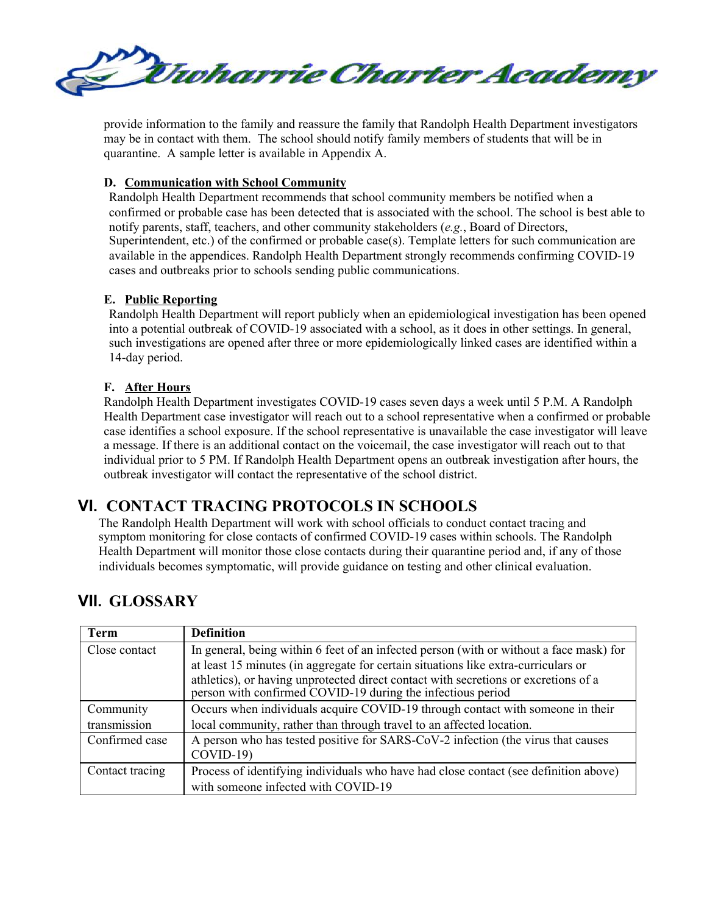

provide information to the family and reassure the family that Randolph Health Department investigators may be in contact with them. The school should notify family members of students that will be in quarantine. A sample letter is available in Appendix A.

#### **D. Communication with School Community**

Randolph Health Department recommends that school community members be notified when a confirmed or probable case has been detected that is associated with the school. The school is best able to notify parents, staff, teachers, and other community stakeholders (*e.g.*, Board of Directors, Superintendent, etc.) of the confirmed or probable case(s). Template letters for such communication are available in the appendices. Randolph Health Department strongly recommends confirming COVID-19 cases and outbreaks prior to schools sending public communications.

#### **E. Public Reporting**

Randolph Health Department will report publicly when an epidemiological investigation has been opened into a potential outbreak of COVID-19 associated with a school, as it does in other settings. In general, such investigations are opened after three or more epidemiologically linked cases are identified within a 14-day period.

#### **F. After Hours**

Randolph Health Department investigates COVID-19 cases seven days a week until 5 P.M. A Randolph Health Department case investigator will reach out to a school representative when a confirmed or probable case identifies a school exposure. If the school representative is unavailable the case investigator will leave a message. If there is an additional contact on the voicemail, the case investigator will reach out to that individual prior to 5 PM. If Randolph Health Department opens an outbreak investigation after hours, the outbreak investigator will contact the representative of the school district.

# **VI. CONTACT TRACING PROTOCOLS IN SCHOOLS**

The Randolph Health Department will work with school officials to conduct contact tracing and symptom monitoring for close contacts of confirmed COVID-19 cases within schools. The Randolph Health Department will monitor those close contacts during their quarantine period and, if any of those individuals becomes symptomatic, will provide guidance on testing and other clinical evaluation.

# **VII. GLOSSARY**

| Term            | <b>Definition</b>                                                                                                                                  |
|-----------------|----------------------------------------------------------------------------------------------------------------------------------------------------|
| Close contact   | In general, being within 6 feet of an infected person (with or without a face mask) for                                                            |
|                 | at least 15 minutes (in aggregate for certain situations like extra-curriculars or                                                                 |
|                 | athletics), or having unprotected direct contact with secretions or excretions of a<br>person with confirmed COVID-19 during the infectious period |
| Community       | Occurs when individuals acquire COVID-19 through contact with someone in their                                                                     |
| transmission    | local community, rather than through travel to an affected location.                                                                               |
| Confirmed case  | A person who has tested positive for SARS-CoV-2 infection (the virus that causes                                                                   |
|                 | $COVID-19$                                                                                                                                         |
| Contact tracing | Process of identifying individuals who have had close contact (see definition above)                                                               |
|                 | with someone infected with COVID-19                                                                                                                |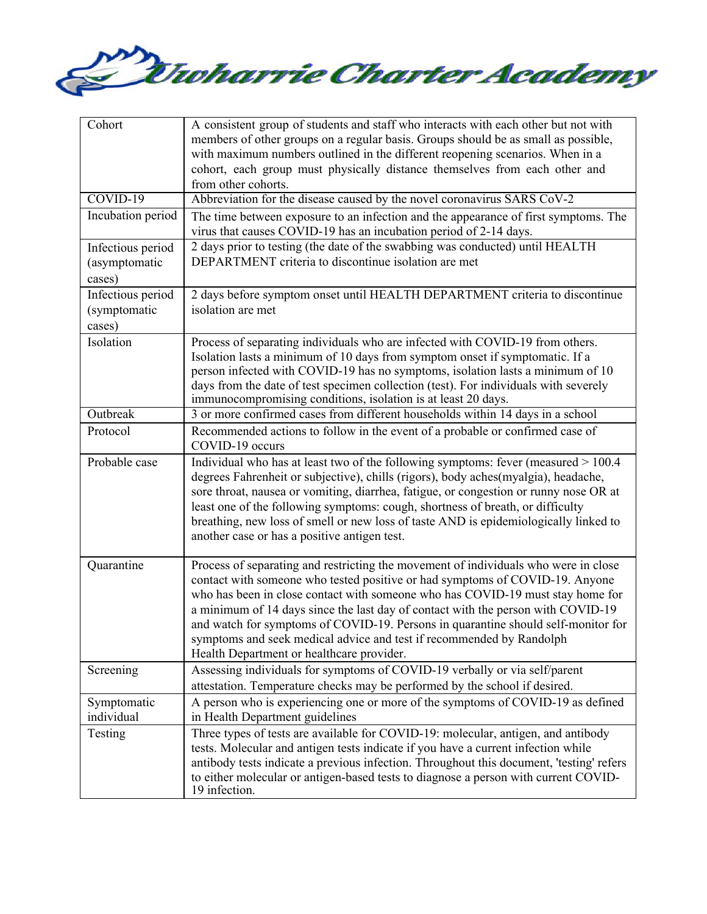

| Cohort                                       | A consistent group of students and staff who interacts with each other but not with<br>members of other groups on a regular basis. Groups should be as small as possible,<br>with maximum numbers outlined in the different reopening scenarios. When in a                                                                                                                                                                                                                                                                                          |
|----------------------------------------------|-----------------------------------------------------------------------------------------------------------------------------------------------------------------------------------------------------------------------------------------------------------------------------------------------------------------------------------------------------------------------------------------------------------------------------------------------------------------------------------------------------------------------------------------------------|
|                                              | cohort, each group must physically distance themselves from each other and<br>from other cohorts.                                                                                                                                                                                                                                                                                                                                                                                                                                                   |
| $COVID-19$                                   | Abbreviation for the disease caused by the novel coronavirus SARS CoV-2                                                                                                                                                                                                                                                                                                                                                                                                                                                                             |
| Incubation period                            | The time between exposure to an infection and the appearance of first symptoms. The<br>virus that causes COVID-19 has an incubation period of 2-14 days.                                                                                                                                                                                                                                                                                                                                                                                            |
| Infectious period<br>(asymptomatic<br>cases) | 2 days prior to testing (the date of the swabbing was conducted) until HEALTH<br>DEPARTMENT criteria to discontinue isolation are met                                                                                                                                                                                                                                                                                                                                                                                                               |
| Infectious period<br>(symptomatic<br>cases)  | 2 days before symptom onset until HEALTH DEPARTMENT criteria to discontinue<br>isolation are met                                                                                                                                                                                                                                                                                                                                                                                                                                                    |
| Isolation                                    | Process of separating individuals who are infected with COVID-19 from others.<br>Isolation lasts a minimum of 10 days from symptom onset if symptomatic. If a<br>person infected with COVID-19 has no symptoms, isolation lasts a minimum of 10<br>days from the date of test specimen collection (test). For individuals with severely<br>immunocompromising conditions, isolation is at least 20 days.                                                                                                                                            |
| Outbreak                                     | 3 or more confirmed cases from different households within 14 days in a school                                                                                                                                                                                                                                                                                                                                                                                                                                                                      |
| Protocol                                     | Recommended actions to follow in the event of a probable or confirmed case of<br>COVID-19 occurs                                                                                                                                                                                                                                                                                                                                                                                                                                                    |
| Probable case                                | Individual who has at least two of the following symptoms: fever (measured > 100.4<br>degrees Fahrenheit or subjective), chills (rigors), body aches (myalgia), headache,<br>sore throat, nausea or vomiting, diarrhea, fatigue, or congestion or runny nose OR at<br>least one of the following symptoms: cough, shortness of breath, or difficulty<br>breathing, new loss of smell or new loss of taste AND is epidemiologically linked to<br>another case or has a positive antigen test.                                                        |
| Quarantine                                   | Process of separating and restricting the movement of individuals who were in close<br>contact with someone who tested positive or had symptoms of COVID-19. Anyone<br>who has been in close contact with someone who has COVID-19 must stay home for<br>a minimum of 14 days since the last day of contact with the person with COVID-19<br>and watch for symptoms of COVID-19. Persons in quarantine should self-monitor for<br>symptoms and seek medical advice and test if recommended by Randolph<br>Health Department or healthcare provider. |
| Screening                                    | Assessing individuals for symptoms of COVID-19 verbally or via self/parent<br>attestation. Temperature checks may be performed by the school if desired.                                                                                                                                                                                                                                                                                                                                                                                            |
| Symptomatic<br>individual                    | A person who is experiencing one or more of the symptoms of COVID-19 as defined<br>in Health Department guidelines                                                                                                                                                                                                                                                                                                                                                                                                                                  |
| Testing                                      | Three types of tests are available for COVID-19: molecular, antigen, and antibody<br>tests. Molecular and antigen tests indicate if you have a current infection while<br>antibody tests indicate a previous infection. Throughout this document, 'testing' refers<br>to either molecular or antigen-based tests to diagnose a person with current COVID-<br>19 infection.                                                                                                                                                                          |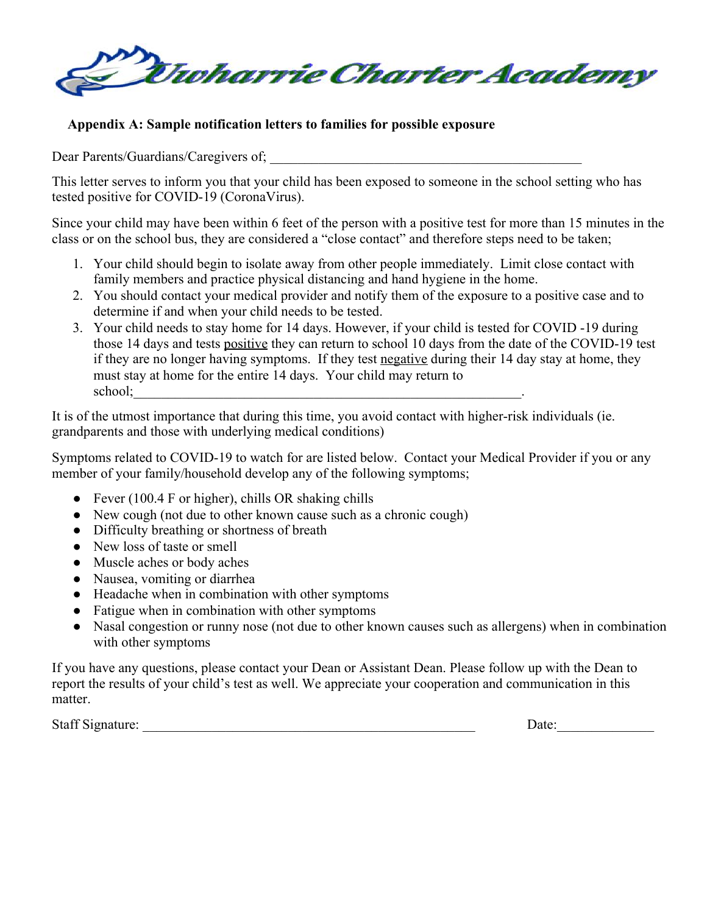

## **Appendix A: Sample notification letters to families for possible exposure**

Dear Parents/Guardians/Caregivers of;

This letter serves to inform you that your child has been exposed to someone in the school setting who has tested positive for COVID-19 (CoronaVirus).

Since your child may have been within 6 feet of the person with a positive test for more than 15 minutes in the class or on the school bus, they are considered a "close contact" and therefore steps need to be taken;

- 1. Your child should begin to isolate away from other people immediately. Limit close contact with family members and practice physical distancing and hand hygiene in the home.
- 2. You should contact your medical provider and notify them of the exposure to a positive case and to determine if and when your child needs to be tested.
- 3. Your child needs to stay home for 14 days. However, if your child is tested for COVID -19 during those 14 days and tests positive they can return to school 10 days from the date of the COVID-19 test if they are no longer having symptoms. If they test negative during their 14 day stay at home, they must stay at home for the entire 14 days. Your child may return to school;\_\_\_\_\_\_\_\_\_\_\_\_\_\_\_\_\_\_\_\_\_\_\_\_\_\_\_\_\_\_\_\_\_\_\_\_\_\_\_\_\_\_\_\_\_\_\_\_\_\_\_\_\_\_\_\_.

It is of the utmost importance that during this time, you avoid contact with higher-risk individuals (ie. grandparents and those with underlying medical conditions)

Symptoms related to COVID-19 to watch for are listed below. Contact your Medical Provider if you or any member of your family/household develop any of the following symptoms;

- Fever  $(100.4 \text{ F or higher})$ , chills OR shaking chills
- New cough (not due to other known cause such as a chronic cough)
- Difficulty breathing or shortness of breath
- New loss of taste or smell
- Muscle aches or body aches
- Nausea, vomiting or diarrhea
- Headache when in combination with other symptoms
- Fatigue when in combination with other symptoms
- Nasal congestion or runny nose (not due to other known causes such as allergens) when in combination with other symptoms

If you have any questions, please contact your Dean or Assistant Dean. Please follow up with the Dean to report the results of your child's test as well. We appreciate your cooperation and communication in this matter.

Staff Signature: \_\_\_\_\_\_\_\_\_\_\_\_\_\_\_\_\_\_\_\_\_\_\_\_\_\_\_\_\_\_\_\_\_\_\_\_\_\_\_\_\_\_\_\_\_\_\_\_ Date:\_\_\_\_\_\_\_\_\_\_\_\_\_\_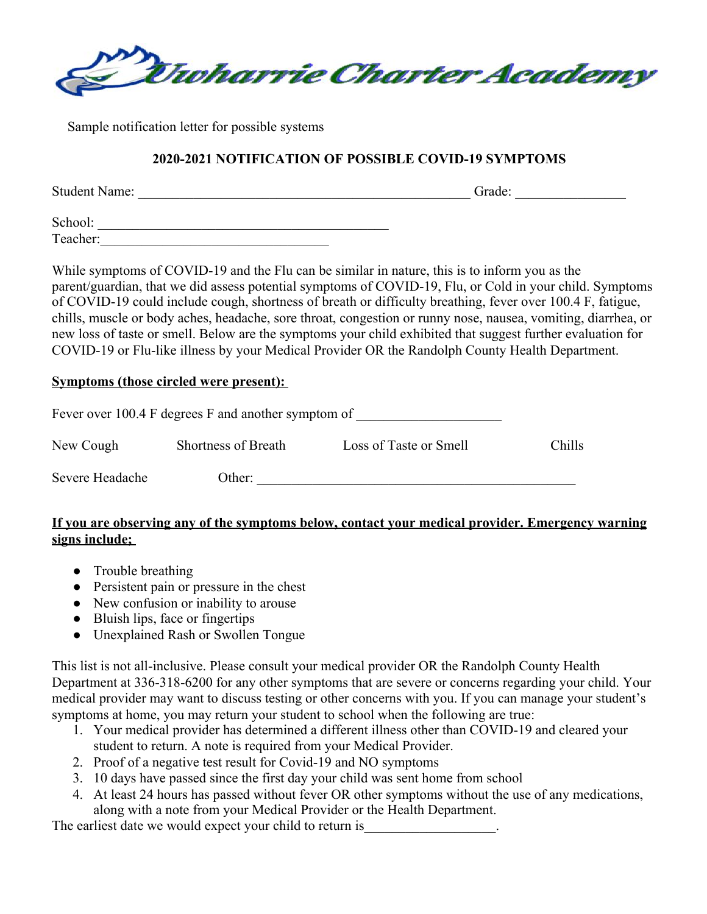

Sample notification letter for possible systems

## **2020-2021 NOTIFICATION OF POSSIBLE COVID-19 SYMPTOMS**

Student Name: \_\_\_\_\_\_\_\_\_\_\_\_\_\_\_\_\_\_\_\_\_\_\_\_\_\_\_\_\_\_\_\_\_\_\_\_\_\_\_\_\_\_\_\_\_\_\_\_ Grade: \_\_\_\_\_\_\_\_\_\_\_\_\_\_\_\_

School: \_\_\_\_\_\_\_\_\_\_\_\_\_\_\_\_\_\_\_\_\_\_\_\_\_\_\_\_\_\_\_\_\_\_\_\_\_\_\_\_\_\_ Teacher:\_\_\_\_\_\_\_\_\_\_\_\_\_\_\_\_\_\_\_\_\_\_\_\_\_\_\_\_\_\_\_\_\_

While symptoms of COVID-19 and the Flu can be similar in nature, this is to inform you as the parent/guardian, that we did assess potential symptoms of COVID-19, Flu, or Cold in your child. Symptoms of COVID-19 could include cough, shortness of breath or difficulty breathing, fever over 100.4 F, fatigue, chills, muscle or body aches, headache, sore throat, congestion or runny nose, nausea, vomiting, diarrhea, or new loss of taste or smell. Below are the symptoms your child exhibited that suggest further evaluation for COVID-19 or Flu-like illness by your Medical Provider OR the Randolph County Health Department.

### **Symptoms (those circled were present):**

|                 | Fever over 100.4 F degrees F and another symptom of |                        |        |
|-----------------|-----------------------------------------------------|------------------------|--------|
| New Cough       | Shortness of Breath                                 | Loss of Taste or Smell | Chills |
| Severe Headache | Other:                                              |                        |        |

## **If you are observing any of the symptoms below, contact your medical provider. Emergency warning signs include;**

- Trouble breathing
- Persistent pain or pressure in the chest
- New confusion or inability to arouse
- Bluish lips, face or fingertips
- Unexplained Rash or Swollen Tongue

This list is not all-inclusive. Please consult your medical provider OR the Randolph County Health Department at 336-318-6200 for any other symptoms that are severe or concerns regarding your child. Your medical provider may want to discuss testing or other concerns with you. If you can manage your student's symptoms at home, you may return your student to school when the following are true:

- 1. Your medical provider has determined a different illness other than COVID-19 and cleared your student to return. A note is required from your Medical Provider.
- 2. Proof of a negative test result for Covid-19 and NO symptoms
- 3. 10 days have passed since the first day your child was sent home from school
- 4. At least 24 hours has passed without fever OR other symptoms without the use of any medications, along with a note from your Medical Provider or the Health Department.

The earliest date we would expect your child to return is\_\_\_\_\_\_\_\_\_\_\_\_\_\_\_\_\_\_\_\_\_\_.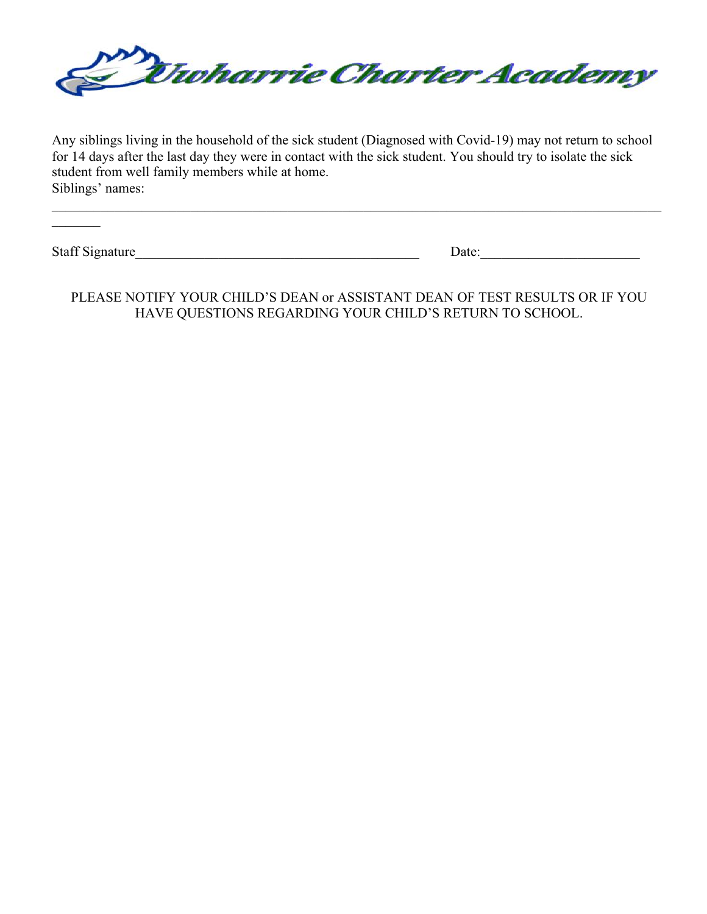

Any siblings living in the household of the sick student (Diagnosed with Covid-19) may not return to school for 14 days after the last day they were in contact with the sick student. You should try to isolate the sick student from well family members while at home. Siblings' names:

 $\mathcal{L}=\mathcal{L}$ 

Staff Signature\_\_\_\_\_\_\_\_\_\_\_\_\_\_\_\_\_\_\_\_\_\_\_\_\_\_\_\_\_\_\_\_\_\_\_\_\_\_\_\_\_ Date:\_\_\_\_\_\_\_\_\_\_\_\_\_\_\_\_\_\_\_\_\_\_\_

PLEASE NOTIFY YOUR CHILD'S DEAN or ASSISTANT DEAN OF TEST RESULTS OR IF YOU HAVE QUESTIONS REGARDING YOUR CHILD'S RETURN TO SCHOOL.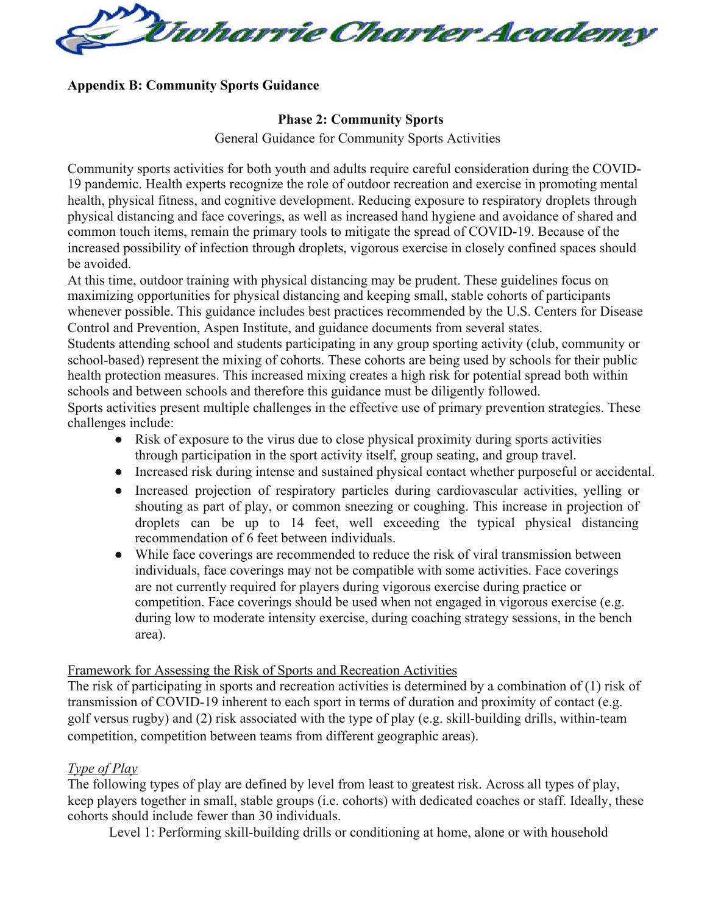

### **Appendix B: Community Sports Guidance**

### **Phase 2: Community Sports**

General Guidance for Community Sports Activities

Community sports activities for both youth and adults require careful consideration during the COVID-19 pandemic. Health experts recognize the role of outdoor recreation and exercise in promoting mental health, physical fitness, and cognitive development. Reducing exposure to respiratory droplets through physical distancing and face coverings, as well as increased hand hygiene and avoidance of shared and common touch items, remain the primary tools to mitigate the spread of COVID-19. Because of the increased possibility of infection through droplets, vigorous exercise in closely confined spaces should be avoided.

At this time, outdoor training with physical distancing may be prudent. These guidelines focus on maximizing opportunities for physical distancing and keeping small, stable cohorts of participants whenever possible. This guidance includes best practices recommended by the U.S. Centers for Disease Control and Prevention, Aspen Institute, and guidance documents from several states.

Students attending school and students participating in any group sporting activity (club, community or school-based) represent the mixing of cohorts. These cohorts are being used by schools for their public health protection measures. This increased mixing creates a high risk for potential spread both within schools and between schools and therefore this guidance must be diligently followed.

Sports activities present multiple challenges in the effective use of primary prevention strategies. These challenges include:

- Risk of exposure to the virus due to close physical proximity during sports activities through participation in the sport activity itself, group seating, and group travel.
- Increased risk during intense and sustained physical contact whether purposeful or accidental.
- Increased projection of respiratory particles during cardiovascular activities, yelling or shouting as part of play, or common sneezing or coughing. This increase in projection of droplets can be up to 14 feet, well exceeding the typical physical distancing recommendation of 6 feet between individuals.
- While face coverings are recommended to reduce the risk of viral transmission between individuals, face coverings may not be compatible with some activities. Face coverings are not currently required for players during vigorous exercise during practice or competition. Face coverings should be used when not engaged in vigorous exercise (e.g. during low to moderate intensity exercise, during coaching strategy sessions, in the bench area).

## Framework for Assessing the Risk of Sports and Recreation Activities

The risk of participating in sports and recreation activities is determined by a combination of (1) risk of transmission of COVID-19 inherent to each sport in terms of duration and proximity of contact (e.g. golf versus rugby) and (2) risk associated with the type of play (e.g. skill-building drills, within-team competition, competition between teams from different geographic areas).

## *Type of Play*

The following types of play are defined by level from least to greatest risk. Across all types of play, keep players together in small, stable groups (i.e. cohorts) with dedicated coaches or staff. Ideally, these cohorts should include fewer than 30 individuals.

Level 1: Performing skill-building drills or conditioning at home, alone or with household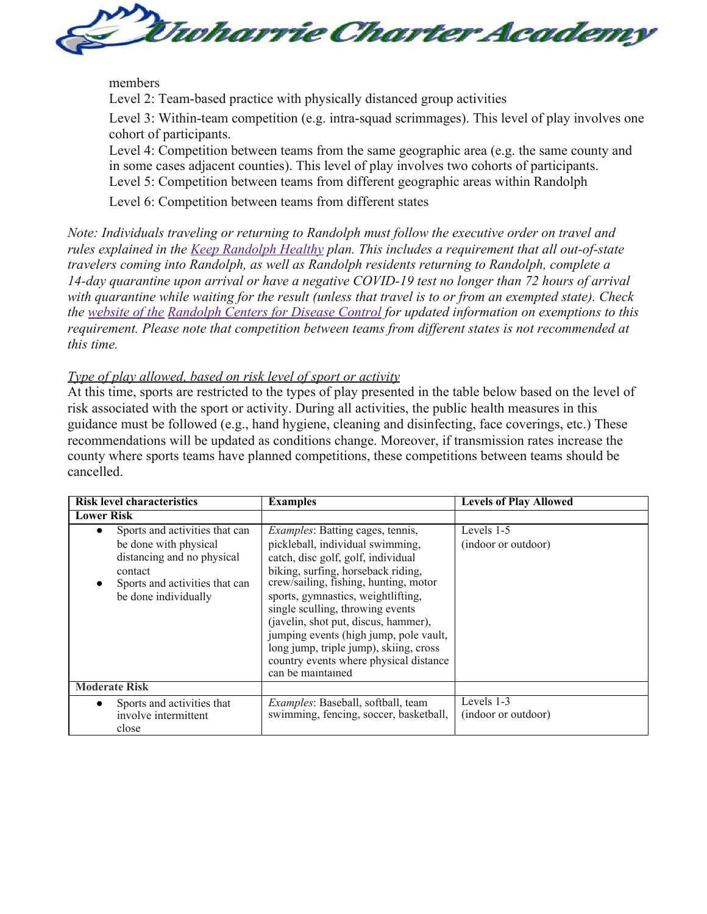

### members

Level 2: Team-based practice with physically distanced group activities

Level 3: Within-team competition (e.g. intra-squad scrimmages). This level of play involves one cohort of participants.

Level 4: Competition between teams from the same geographic area (e.g. the same county and in some cases adjacent counties). This level of play involves two cohorts of participants. Level 5: Competition between teams from different geographic areas within Randolph

Level 6: Competition between teams from different states

*Note: Individuals traveling or returning to Randolph must follow the executive order on travel and rules explained in the Keep Randolph Healthy plan. This includes a requirement that all out-of-state travelers coming into Randolph, as well as Randolph residents returning to Randolph, complete a 14-day quarantine upon arrival or have a negative COVID-19 test no longer than 72 hours of arrival with quarantine while waiting for the result (unless that travel is to or from an exempted state). Check the website of the Randolph Centers for Disease Control for updated information on exemptions to this requirement. Please note that competition between teams from different states is not recommended at this time.*

### *Type of play allowed, based on risk level of sport or activity*

At this time, sports are restricted to the types of play presented in the table below based on the level of risk associated with the sport or activity. During all activities, the public health measures in this guidance must be followed (e.g., hand hygiene, cleaning and disinfecting, face coverings, etc.) These recommendations will be updated as conditions change. Moreover, if transmission rates increase the county where sports teams have planned competitions, these competitions between teams should be cancelled.

| <b>Risk level characteristics</b>                                                                                                                          | <b>Examples</b>                                                                                                                                                                                                                                                                                                                                                                                                                                                       | <b>Levels of Play Allowed</b>     |
|------------------------------------------------------------------------------------------------------------------------------------------------------------|-----------------------------------------------------------------------------------------------------------------------------------------------------------------------------------------------------------------------------------------------------------------------------------------------------------------------------------------------------------------------------------------------------------------------------------------------------------------------|-----------------------------------|
| <b>Lower Risk</b>                                                                                                                                          |                                                                                                                                                                                                                                                                                                                                                                                                                                                                       |                                   |
| Sports and activities that can<br>be done with physical<br>distancing and no physical<br>contact<br>Sports and activities that can<br>be done individually | <i>Examples:</i> Batting cages, tennis,<br>pickleball, individual swimming,<br>catch, disc golf, golf, individual<br>biking, surfing, horseback riding,<br>crew/sailing, fishing, hunting, motor<br>sports, gymnastics, weightlifting,<br>single sculling, throwing events<br>(javelin, shot put, discus, hammer),<br>jumping events (high jump, pole vault,<br>long jump, triple jump), skiing, cross<br>country events where physical distance<br>can be maintained | Levels 1-5<br>(indoor or outdoor) |
| <b>Moderate Risk</b>                                                                                                                                       |                                                                                                                                                                                                                                                                                                                                                                                                                                                                       |                                   |
| Sports and activities that<br>involve intermittent<br>close                                                                                                | <i>Examples:</i> Baseball, softball, team<br>swimming, fencing, soccer, basketball,                                                                                                                                                                                                                                                                                                                                                                                   | Levels 1-3<br>(indoor or outdoor) |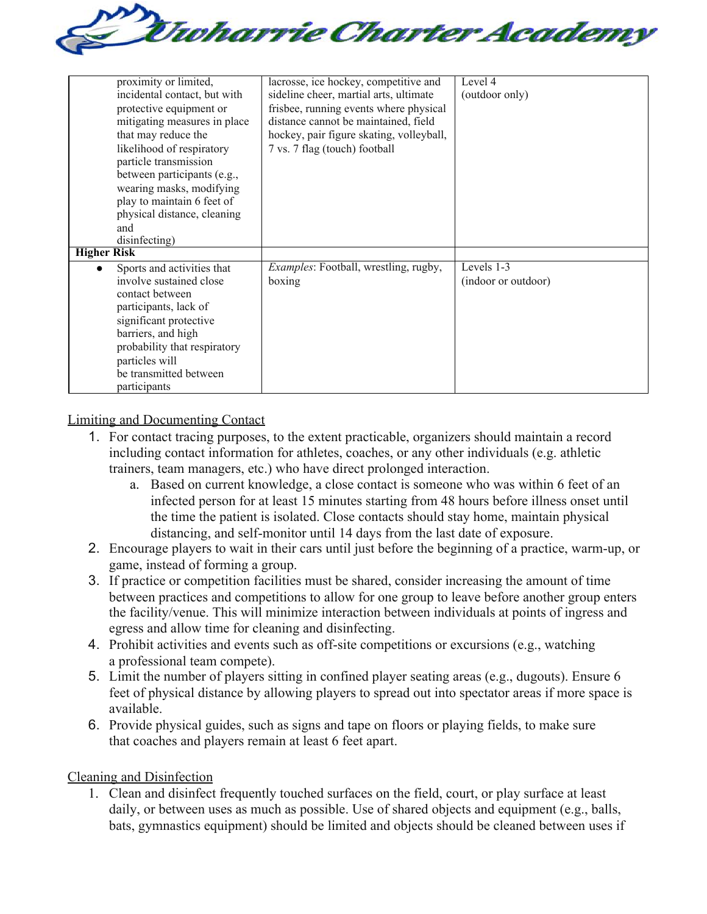

| proximity or limited,<br>incidental contact, but with<br>protective equipment or<br>mitigating measures in place<br>that may reduce the<br>likelihood of respiratory<br>particle transmission<br>between participants (e.g.,<br>wearing masks, modifying<br>play to maintain 6 feet of<br>physical distance, cleaning<br>and<br>disinfecting) | lacrosse, ice hockey, competitive and<br>sideline cheer, martial arts, ultimate<br>frisbee, running events where physical<br>distance cannot be maintained, field<br>hockey, pair figure skating, volleyball,<br>7 vs. 7 flag (touch) football | Level 4<br>(outdoor only)         |
|-----------------------------------------------------------------------------------------------------------------------------------------------------------------------------------------------------------------------------------------------------------------------------------------------------------------------------------------------|------------------------------------------------------------------------------------------------------------------------------------------------------------------------------------------------------------------------------------------------|-----------------------------------|
| <b>Higher Risk</b><br>Sports and activities that<br>$\bullet$<br>involve sustained close<br>contact between<br>participants, lack of<br>significant protective<br>barriers, and high<br>probability that respiratory<br>particles will<br>be transmitted between<br>participants                                                              | Examples: Football, wrestling, rugby,<br>boxing                                                                                                                                                                                                | Levels 1-3<br>(indoor or outdoor) |

Limiting and Documenting Contact

- 1. For contact tracing purposes, to the extent practicable, organizers should maintain a record including contact information for athletes, coaches, or any other individuals (e.g. athletic trainers, team managers, etc.) who have direct prolonged interaction.
	- a. Based on current knowledge, a close contact is someone who was within 6 feet of an infected person for at least 15 minutes starting from 48 hours before illness onset until the time the patient is isolated. Close contacts should stay home, maintain physical distancing, and self-monitor until 14 days from the last date of exposure.
- 2. Encourage players to wait in their cars until just before the beginning of a practice, warm-up, or game, instead of forming a group.
- 3. If practice or competition facilities must be shared, consider increasing the amount of time between practices and competitions to allow for one group to leave before another group enters the facility/venue. This will minimize interaction between individuals at points of ingress and egress and allow time for cleaning and disinfecting.
- 4. Prohibit activities and events such as off-site competitions or excursions (e.g., watching a professional team compete).
- 5. Limit the number of players sitting in confined player seating areas (e.g., dugouts). Ensure 6 feet of physical distance by allowing players to spread out into spectator areas if more space is available.
- 6. Provide physical guides, such as signs and tape on floors or playing fields, to make sure that coaches and players remain at least 6 feet apart.

Cleaning and Disinfection

1. Clean and disinfect frequently touched surfaces on the field, court, or play surface at least daily, or between uses as much as possible. Use of shared objects and equipment (e.g., balls, bats, gymnastics equipment) should be limited and objects should be cleaned between uses if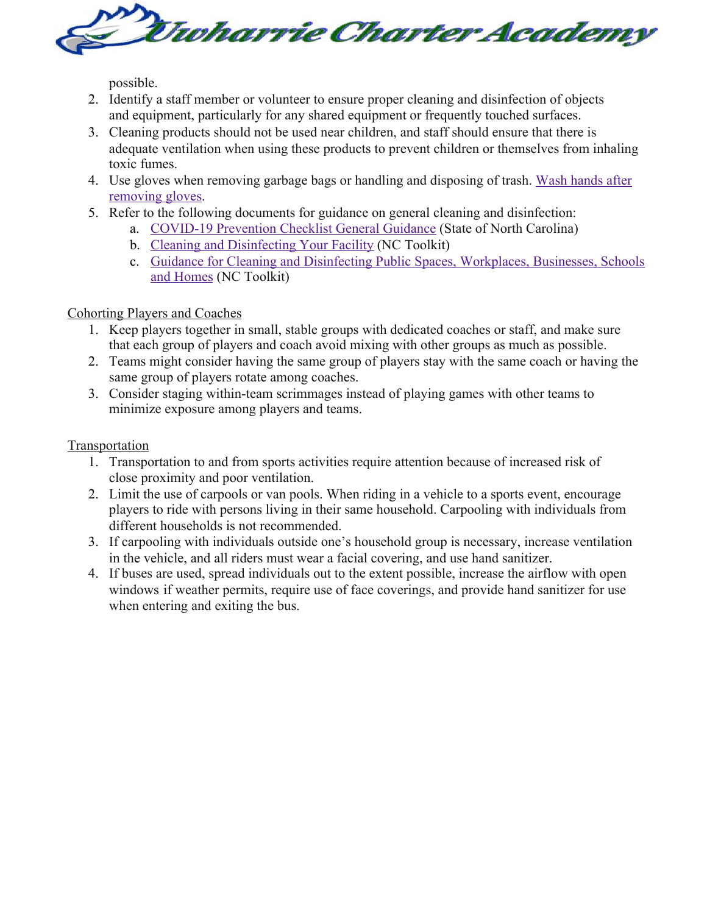

possible.

- 2. Identify a staff member or volunteer to ensure proper cleaning and disinfection of objects and equipment, particularly for any shared equipment or frequently touched surfaces.
- 3. Cleaning products should not be used near children, and staff should ensure that there is adequate ventilation when using these products to prevent children or themselves from inhaling toxic fumes.
- 4. Use gloves when removing garbage bags or handling and disposing of trash. Wash hands after removing gloves.
- 5. Refer to the following documents for guidance on general cleaning and disinfection:
	- a. COVID-19 Prevention Checklist General Guidance (State of North Carolina)
	- b. Cleaning and Disinfecting Your Facility (NC Toolkit)
	- c. Guidance for Cleaning and Disinfecting Public Spaces, Workplaces, Businesses, Schools and Homes (NC Toolkit)

# Cohorting Players and Coaches

- 1. Keep players together in small, stable groups with dedicated coaches or staff, and make sure that each group of players and coach avoid mixing with other groups as much as possible.
- 2. Teams might consider having the same group of players stay with the same coach or having the same group of players rotate among coaches.
- 3. Consider staging within-team scrimmages instead of playing games with other teams to minimize exposure among players and teams.

# Transportation

- 1. Transportation to and from sports activities require attention because of increased risk of close proximity and poor ventilation.
- 2. Limit the use of carpools or van pools. When riding in a vehicle to a sports event, encourage players to ride with persons living in their same household. Carpooling with individuals from different households is not recommended.
- 3. If carpooling with individuals outside one's household group is necessary, increase ventilation in the vehicle, and all riders must wear a facial covering, and use hand sanitizer.
- 4. If buses are used, spread individuals out to the extent possible, increase the airflow with open windows if weather permits, require use of face coverings, and provide hand sanitizer for use when entering and exiting the bus.